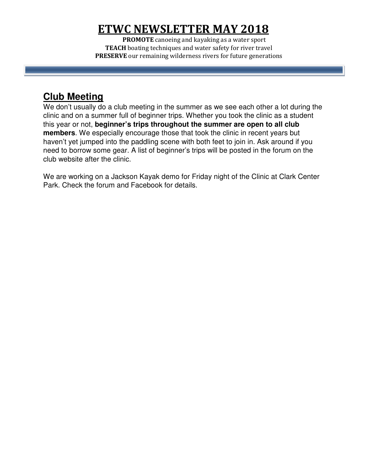# ETWC NEWSLETTER MAY 2018

PROMOTE canoeing and kayaking as a water sport TEACH boating techniques and water safety for river travel PRESERVE our remaining wilderness rivers for future generations

## **Club Meeting**

We don't usually do a club meeting in the summer as we see each other a lot during the clinic and on a summer full of beginner trips. Whether you took the clinic as a student this year or not, **beginner's trips throughout the summer are open to all club members**. We especially encourage those that took the clinic in recent years but haven't yet jumped into the paddling scene with both feet to join in. Ask around if you need to borrow some gear. A list of beginner's trips will be posted in the forum on the club website after the clinic.

We are working on a Jackson Kayak demo for Friday night of the Clinic at Clark Center Park. Check the forum and Facebook for details.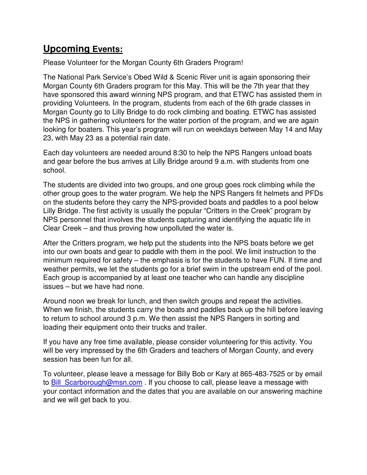### **Upcoming Events:**

Please Volunteer for the Morgan County 6th Graders Program!

The National Park Service's Obed Wild & Scenic River unit is again sponsoring their Morgan County 6th Graders program for this May. This will be the 7th year that they have sponsored this award winning NPS program, and that ETWC has assisted them in providing Volunteers. In the program, students from each of the 6th grade classes in Morgan County go to Lilly Bridge to do rock climbing and boating. ETWC has assisted the NPS in gathering volunteers for the water portion of the program, and we are again looking for boaters. This year's program will run on weekdays between May 14 and May 23, with May 23 as a potential rain date.

Each day volunteers are needed around 8:30 to help the NPS Rangers unload boats and gear before the bus arrives at Lilly Bridge around 9 a.m. with students from one school.

The students are divided into two groups, and one group goes rock climbing while the other group goes to the water program. We help the NPS Rangers fit helmets and PFDs on the students before they carry the NPS-provided boats and paddles to a pool below Lilly Bridge. The first activity is usually the popular "Critters in the Creek" program by NPS personnel that involves the students capturing and identifying the aquatic life in Clear Creek – and thus proving how unpolluted the water is.

After the Critters program, we help put the students into the NPS boats before we get into our own boats and gear to paddle with them in the pool. We limit instruction to the minimum required for safety – the emphasis is for the students to have FUN. If time and weather permits, we let the students go for a brief swim in the upstream end of the pool. Each group is accompanied by at least one teacher who can handle any discipline issues – but we have had none.

Around noon we break for lunch, and then switch groups and repeat the activities. When we finish, the students carry the boats and paddles back up the hill before leaving to return to school around 3 p.m. We then assist the NPS Rangers in sorting and loading their equipment onto their trucks and trailer.

If you have any free time available, please consider volunteering for this activity. You will be very impressed by the 6th Graders and teachers of Morgan County, and every session has been fun for all.

To volunteer, please leave a message for Billy Bob or Kary at 865-483-7525 or by email to Bill\_Scarborough@msn.com . If you choose to call, please leave a message with your contact information and the dates that you are available on our answering machine and we will get back to you.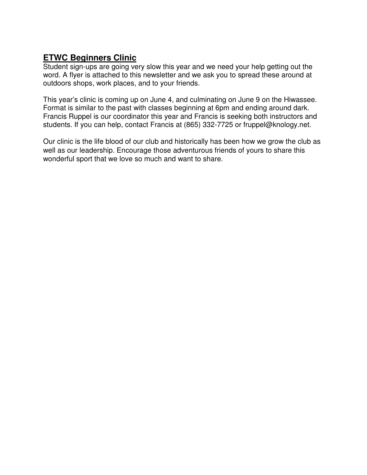#### **ETWC Beginners Clinic**

Student sign-ups are going very slow this year and we need your help getting out the word. A flyer is attached to this newsletter and we ask you to spread these around at outdoors shops, work places, and to your friends.

This year's clinic is coming up on June 4, and culminating on June 9 on the Hiwassee. Format is similar to the past with classes beginning at 6pm and ending around dark. Francis Ruppel is our coordinator this year and Francis is seeking both instructors and students. If you can help, contact Francis at (865) 332-7725 or fruppel@knology.net.

Our clinic is the life blood of our club and historically has been how we grow the club as well as our leadership. Encourage those adventurous friends of yours to share this wonderful sport that we love so much and want to share.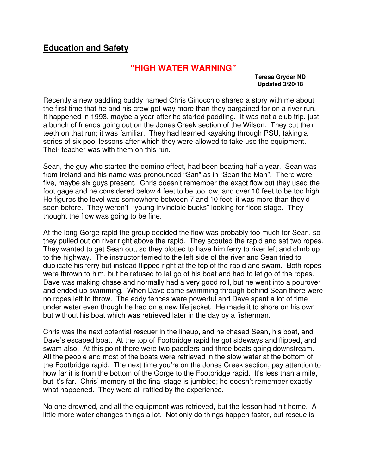#### **Education and Safety**

#### **"HIGH WATER WARNING"**

**Teresa Gryder ND Updated 3/20/18** 

Recently a new paddling buddy named Chris Ginocchio shared a story with me about the first time that he and his crew got way more than they bargained for on a river run. It happened in 1993, maybe a year after he started paddling. It was not a club trip, just a bunch of friends going out on the Jones Creek section of the Wilson. They cut their teeth on that run; it was familiar. They had learned kayaking through PSU, taking a series of six pool lessons after which they were allowed to take use the equipment. Their teacher was with them on this run.

Sean, the guy who started the domino effect, had been boating half a year. Sean was from Ireland and his name was pronounced "San" as in "Sean the Man". There were five, maybe six guys present. Chris doesn't remember the exact flow but they used the foot gage and he considered below 4 feet to be too low, and over 10 feet to be too high. He figures the level was somewhere between 7 and 10 feet; it was more than they'd seen before. They weren't "young invincible bucks" looking for flood stage. They thought the flow was going to be fine.

At the long Gorge rapid the group decided the flow was probably too much for Sean, so they pulled out on river right above the rapid. They scouted the rapid and set two ropes. They wanted to get Sean out, so they plotted to have him ferry to river left and climb up to the highway. The instructor ferried to the left side of the river and Sean tried to duplicate his ferry but instead flipped right at the top of the rapid and swam. Both ropes were thrown to him, but he refused to let go of his boat and had to let go of the ropes. Dave was making chase and normally had a very good roll, but he went into a pourover and ended up swimming. When Dave came swimming through behind Sean there were no ropes left to throw. The eddy fences were powerful and Dave spent a lot of time under water even though he had on a new life jacket. He made it to shore on his own but without his boat which was retrieved later in the day by a fisherman.

Chris was the next potential rescuer in the lineup, and he chased Sean, his boat, and Dave's escaped boat. At the top of Footbridge rapid he got sideways and flipped, and swam also. At this point there were two paddlers and three boats going downstream. All the people and most of the boats were retrieved in the slow water at the bottom of the Footbridge rapid. The next time you're on the Jones Creek section, pay attention to how far it is from the bottom of the Gorge to the Footbridge rapid. It's less than a mile, but it's far. Chris' memory of the final stage is jumbled; he doesn't remember exactly what happened. They were all rattled by the experience.

No one drowned, and all the equipment was retrieved, but the lesson had hit home. A little more water changes things a lot. Not only do things happen faster, but rescue is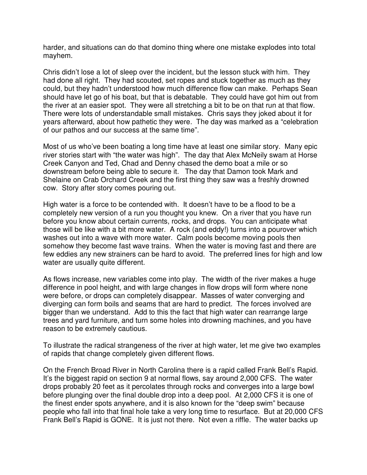harder, and situations can do that domino thing where one mistake explodes into total mayhem.

Chris didn't lose a lot of sleep over the incident, but the lesson stuck with him. They had done all right. They had scouted, set ropes and stuck together as much as they could, but they hadn't understood how much difference flow can make. Perhaps Sean should have let go of his boat, but that is debatable. They could have got him out from the river at an easier spot. They were all stretching a bit to be on that run at that flow. There were lots of understandable small mistakes. Chris says they joked about it for years afterward, about how pathetic they were. The day was marked as a "celebration of our pathos and our success at the same time".

Most of us who've been boating a long time have at least one similar story. Many epic river stories start with "the water was high". The day that Alex McNeily swam at Horse Creek Canyon and Ted, Chad and Denny chased the demo boat a mile or so downstream before being able to secure it. The day that Damon took Mark and Shelaine on Crab Orchard Creek and the first thing they saw was a freshly drowned cow. Story after story comes pouring out.

High water is a force to be contended with. It doesn't have to be a flood to be a completely new version of a run you thought you knew. On a river that you have run before you know about certain currents, rocks, and drops. You can anticipate what those will be like with a bit more water. A rock (and eddy!) turns into a pourover which washes out into a wave with more water. Calm pools become moving pools then somehow they become fast wave trains. When the water is moving fast and there are few eddies any new strainers can be hard to avoid. The preferred lines for high and low water are usually quite different.

As flows increase, new variables come into play. The width of the river makes a huge difference in pool height, and with large changes in flow drops will form where none were before, or drops can completely disappear. Masses of water converging and diverging can form boils and seams that are hard to predict. The forces involved are bigger than we understand. Add to this the fact that high water can rearrange large trees and yard furniture, and turn some holes into drowning machines, and you have reason to be extremely cautious.

To illustrate the radical strangeness of the river at high water, let me give two examples of rapids that change completely given different flows.

On the French Broad River in North Carolina there is a rapid called Frank Bell's Rapid. It's the biggest rapid on section 9 at normal flows, say around 2,000 CFS. The water drops probably 20 feet as it percolates through rocks and converges into a large bowl before plunging over the final double drop into a deep pool. At 2,000 CFS it is one of the finest ender spots anywhere, and it is also known for the "deep swim" because people who fall into that final hole take a very long time to resurface. But at 20,000 CFS Frank Bell's Rapid is GONE. It is just not there. Not even a riffle. The water backs up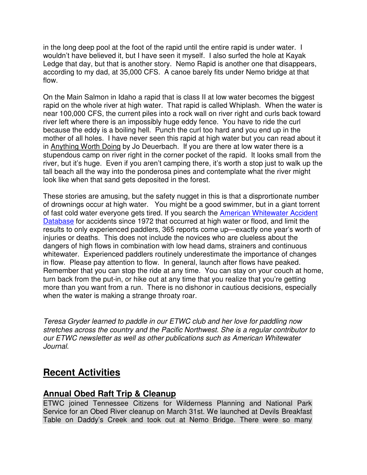in the long deep pool at the foot of the rapid until the entire rapid is under water. I wouldn't have believed it, but I have seen it myself. I also surfed the hole at Kayak Ledge that day, but that is another story. Nemo Rapid is another one that disappears, according to my dad, at 35,000 CFS. A canoe barely fits under Nemo bridge at that flow.

On the Main Salmon in Idaho a rapid that is class II at low water becomes the biggest rapid on the whole river at high water. That rapid is called Whiplash. When the water is near 100,000 CFS, the current piles into a rock wall on river right and curls back toward river left where there is an impossibly huge eddy fence. You have to ride the curl because the eddy is a boiling hell. Punch the curl too hard and you end up in the mother of all holes. I have never seen this rapid at high water but you can read about it in Anything Worth Doing by Jo Deuerbach. If you are there at low water there is a stupendous camp on river right in the corner pocket of the rapid. It looks small from the river, but it's huge. Even if you aren't camping there, it's worth a stop just to walk up the tall beach all the way into the ponderosa pines and contemplate what the river might look like when that sand gets deposited in the forest.

These stories are amusing, but the safety nugget in this is that a disprortionate number of drownings occur at high water. You might be a good swimmer, but in a giant torrent of fast cold water everyone gets tired. If you search the American Whitewater Accident Database for accidents since 1972 that occurred at high water or flood, and limit the results to only experienced paddlers, 365 reports come up—exactly one year's worth of injuries or deaths. This does not include the novices who are clueless about the dangers of high flows in combination with low head dams, strainers and continuous whitewater. Experienced paddlers routinely underestimate the importance of changes in flow. Please pay attention to flow. In general, launch after flows have peaked. Remember that you can stop the ride at any time. You can stay on your couch at home, turn back from the put-in, or hike out at any time that you realize that you're getting more than you want from a run. There is no dishonor in cautious decisions, especially when the water is making a strange throaty roar.

Teresa Gryder learned to paddle in our ETWC club and her love for paddling now stretches across the country and the Pacific Northwest. She is a regular contributor to our ETWC newsletter as well as other publications such as American Whitewater Journal.

### **Recent Activities**

#### **Annual Obed Raft Trip & Cleanup**

ETWC joined Tennessee Citizens for Wilderness Planning and National Park Service for an Obed River cleanup on March 31st. We launched at Devils Breakfast Table on Daddy's Creek and took out at Nemo Bridge. There were so many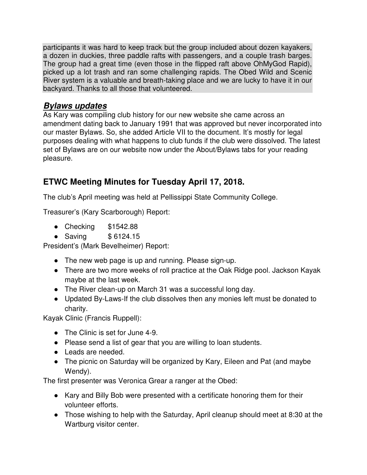participants it was hard to keep track but the group included about dozen kayakers, a dozen in duckies, three paddle rafts with passengers, and a couple trash barges. The group had a great time (even those in the flipped raft above OhMyGod Rapid), picked up a lot trash and ran some challenging rapids. The Obed Wild and Scenic River system is a valuable and breath-taking place and we are lucky to have it in our backyard. Thanks to all those that volunteered.

### **Bylaws updates**

As Kary was compiling club history for our new website she came across an amendment dating back to January 1991 that was approved but never incorporated into our master Bylaws. So, she added Article VII to the document. It's mostly for legal purposes dealing with what happens to club funds if the club were dissolved. The latest set of Bylaws are on our website now under the About/Bylaws tabs for your reading pleasure.

### **ETWC Meeting Minutes for Tuesday April 17, 2018.**

The club's April meeting was held at Pellissippi State Community College.

Treasurer's (Kary Scarborough) Report:

- Checking \$1542.88
- Saving \$ 6124.15

President's (Mark Bevelheimer) Report:

- The new web page is up and running. Please sign-up.
- There are two more weeks of roll practice at the Oak Ridge pool. Jackson Kayak maybe at the last week.
- The River clean-up on March 31 was a successful long day.
- Updated By-Laws-If the club dissolves then any monies left must be donated to charity.

Kayak Clinic (Francis Ruppell):

- The Clinic is set for June 4-9.
- Please send a list of gear that you are willing to loan students.
- Leads are needed.
- The picnic on Saturday will be organized by Kary, Eileen and Pat (and maybe Wendy).

The first presenter was Veronica Grear a ranger at the Obed:

- Kary and Billy Bob were presented with a certificate honoring them for their volunteer efforts.
- Those wishing to help with the Saturday, April cleanup should meet at 8:30 at the Wartburg visitor center.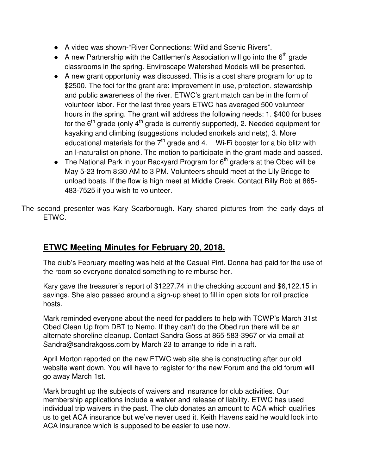- A video was shown-"River Connections: Wild and Scenic Rivers".
- $\bullet$  A new Partnership with the Cattlemen's Association will go into the  $6<sup>th</sup>$  grade classrooms in the spring. Enviroscape Watershed Models will be presented.
- A new grant opportunity was discussed. This is a cost share program for up to \$2500. The foci for the grant are: improvement in use, protection, stewardship and public awareness of the river. ETWC's grant match can be in the form of volunteer labor. For the last three years ETWC has averaged 500 volunteer hours in the spring. The grant will address the following needs: 1. \$400 for buses for the  $6<sup>th</sup>$  grade (only  $4<sup>th</sup>$  grade is currently supported), 2. Needed equipment for kayaking and climbing (suggestions included snorkels and nets), 3. More educational materials for the  $7<sup>th</sup>$  grade and 4. Wi-Fi booster for a bio blitz with an I-naturalist on phone. The motion to participate in the grant made and passed.
- The National Park in your Backyard Program for  $6<sup>th</sup>$  graders at the Obed will be May 5-23 from 8:30 AM to 3 PM. Volunteers should meet at the Lily Bridge to unload boats. If the flow is high meet at Middle Creek. Contact Billy Bob at 865- 483-7525 if you wish to volunteer.
- The second presenter was Kary Scarborough. Kary shared pictures from the early days of ETWC.

#### **ETWC Meeting Minutes for February 20, 2018.**

The club's February meeting was held at the Casual Pint. Donna had paid for the use of the room so everyone donated something to reimburse her.

Kary gave the treasurer's report of \$1227.74 in the checking account and \$6,122.15 in savings. She also passed around a sign-up sheet to fill in open slots for roll practice hosts.

Mark reminded everyone about the need for paddlers to help with TCWP's March 31st Obed Clean Up from DBT to Nemo. If they can't do the Obed run there will be an alternate shoreline cleanup. Contact Sandra Goss at 865-583-3967 or via email at Sandra@sandrakgoss.com by March 23 to arrange to ride in a raft.

April Morton reported on the new ETWC web site she is constructing after our old website went down. You will have to register for the new Forum and the old forum will go away March 1st.

Mark brought up the subjects of waivers and insurance for club activities. Our membership applications include a waiver and release of liability. ETWC has used individual trip waivers in the past. The club donates an amount to ACA which qualifies us to get ACA insurance but we've never used it. Keith Havens said he would look into ACA insurance which is supposed to be easier to use now.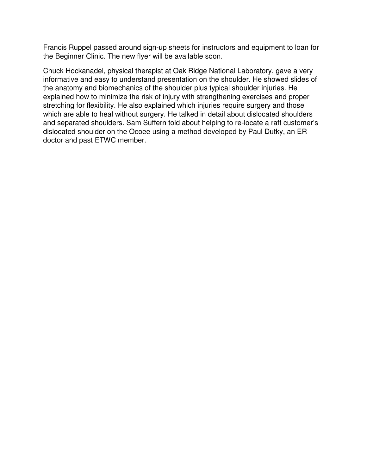Francis Ruppel passed around sign-up sheets for instructors and equipment to loan for the Beginner Clinic. The new flyer will be available soon.

Chuck Hockanadel, physical therapist at Oak Ridge National Laboratory, gave a very informative and easy to understand presentation on the shoulder. He showed slides of the anatomy and biomechanics of the shoulder plus typical shoulder injuries. He explained how to minimize the risk of injury with strengthening exercises and proper stretching for flexibility. He also explained which injuries require surgery and those which are able to heal without surgery. He talked in detail about dislocated shoulders and separated shoulders. Sam Suffern told about helping to re-locate a raft customer's dislocated shoulder on the Ocoee using a method developed by Paul Dutky, an ER doctor and past ETWC member.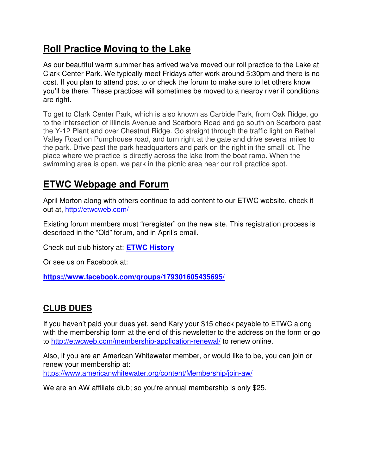## **Roll Practice Moving to the Lake**

As our beautiful warm summer has arrived we've moved our roll practice to the Lake at Clark Center Park. We typically meet Fridays after work around 5:30pm and there is no cost. If you plan to attend post to or check the forum to make sure to let others know you'll be there. These practices will sometimes be moved to a nearby river if conditions are right.

To get to Clark Center Park, which is also known as Carbide Park, from Oak Ridge, go to the intersection of Illinois Avenue and Scarboro Road and go south on Scarboro past the Y-12 Plant and over Chestnut Ridge. Go straight through the traffic light on Bethel Valley Road on Pumphouse road, and turn right at the gate and drive several miles to the park. Drive past the park headquarters and park on the right in the small lot. The place where we practice is directly across the lake from the boat ramp. When the swimming area is open, we park in the picnic area near our roll practice spot.

## **ETWC Webpage and Forum**

April Morton along with others continue to add content to our ETWC website, check it out at, http://etwcweb.com/

Existing forum members must "reregister" on the new site. This registration process is described in the "Old" forum, and in April's email.

Check out club history at: **ETWC History**

Or see us on Facebook at:

**https://www.facebook.com/groups/179301605435695/**

### **CLUB DUES**

If you haven't paid your dues yet, send Kary your \$15 check payable to ETWC along with the membership form at the end of this newsletter to the address on the form or go to http://etwcweb.com/membership-application-renewal/ to renew online.

Also, if you are an American Whitewater member, or would like to be, you can join or renew your membership at: https://www.americanwhitewater.org/content/Membership/join-aw/

We are an AW affiliate club; so you're annual membership is only \$25.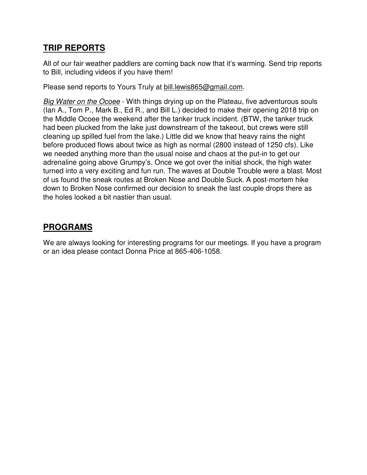#### **TRIP REPORTS**

All of our fair weather paddlers are coming back now that it's warming. Send trip reports to Bill, including videos if you have them!

Please send reports to Yours Truly at bill.lewis865@gmail.com.

Big Water on the Ocoee - With things drying up on the Plateau, five adventurous souls (Ian A., Tom P., Mark B., Ed R., and Bill L.) decided to make their opening 2018 trip on the Middle Ocoee the weekend after the tanker truck incident. (BTW, the tanker truck had been plucked from the lake just downstream of the takeout, but crews were still cleaning up spilled fuel from the lake.) Little did we know that heavy rains the night before produced flows about twice as high as normal (2800 instead of 1250 cfs). Like we needed anything more than the usual noise and chaos at the put-in to get our adrenaline going above Grumpy's. Once we got over the initial shock, the high water turned into a very exciting and fun run. The waves at Double Trouble were a blast. Most of us found the sneak routes at Broken Nose and Double Suck. A post-mortem hike down to Broken Nose confirmed our decision to sneak the last couple drops there as the holes looked a bit nastier than usual.

### **PROGRAMS**

We are always looking for interesting programs for our meetings. If you have a program or an idea please contact Donna Price at 865-406-1058.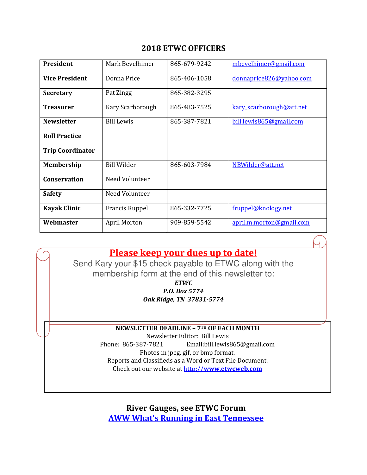#### 2018 ETWC OFFICERS

| President               | Mark Bevelhimer       | 865-679-9242 | mbevelhimer@gmail.com    |  |
|-------------------------|-----------------------|--------------|--------------------------|--|
| <b>Vice President</b>   | Donna Price           | 865-406-1058 | donnaprice826@yahoo.com  |  |
| <b>Secretary</b>        | Pat Zingg             | 865-382-3295 |                          |  |
| <b>Treasurer</b>        | Kary Scarborough      | 865-483-7525 | kary scarborough@att.net |  |
| <b>Newsletter</b>       | <b>Bill Lewis</b>     | 865-387-7821 | bill.lewis865@gmail.com  |  |
| <b>Roll Practice</b>    |                       |              |                          |  |
| <b>Trip Coordinator</b> |                       |              |                          |  |
| <b>Membership</b>       | <b>Bill Wilder</b>    | 865-603-7984 | NBWilder@att.net         |  |
| Conservation            | Need Volunteer        |              |                          |  |
| <b>Safety</b>           | Need Volunteer        |              |                          |  |
| <b>Kayak Clinic</b>     | <b>Francis Ruppel</b> | 865-332-7725 | fruppel@knology.net      |  |
| Webmaster               | April Morton          | 909-859-5542 | april.m.morton@gmail.com |  |

### Please keep your dues up to date!

Send Kary your \$15 check payable to ETWC along with the membership form at the end of this newsletter to:

> ETWC P.O. Box 5774 Oak Ridge, TN 37831-5774

NEWSLETTER DEADLINE – 7TH OF EACH MONTH

Newsletter Editor: Bill Lewis Phone: 865-387-7821 Email:bill.lewis865@gmail.com Photos in jpeg, gif, or bmp format. Reports and Classifieds as a Word or Text File Document. Check out our website at http://www.etwcweb.com

River Gauges, see ETWC Forum AWW What's Running in East Tennessee